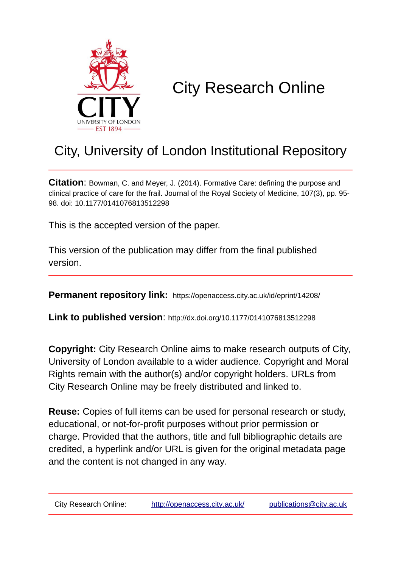

# City Research Online

# City, University of London Institutional Repository

**Citation**: Bowman, C. and Meyer, J. (2014). Formative Care: defining the purpose and clinical practice of care for the frail. Journal of the Royal Society of Medicine, 107(3), pp. 95- 98. doi: 10.1177/0141076813512298

This is the accepted version of the paper.

This version of the publication may differ from the final published version.

**Permanent repository link:** https://openaccess.city.ac.uk/id/eprint/14208/

**Link to published version**: http://dx.doi.org/10.1177/0141076813512298

**Copyright:** City Research Online aims to make research outputs of City, University of London available to a wider audience. Copyright and Moral Rights remain with the author(s) and/or copyright holders. URLs from City Research Online may be freely distributed and linked to.

**Reuse:** Copies of full items can be used for personal research or study, educational, or not-for-profit purposes without prior permission or charge. Provided that the authors, title and full bibliographic details are credited, a hyperlink and/or URL is given for the original metadata page and the content is not changed in any way.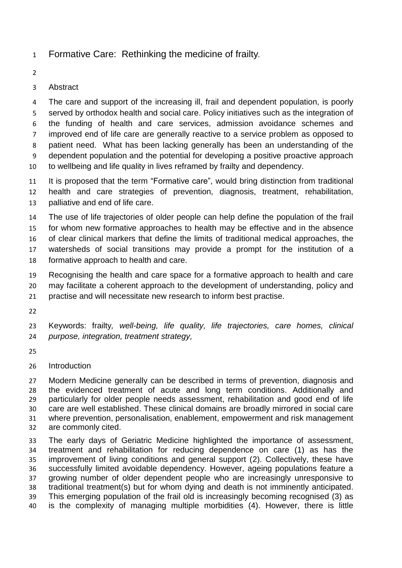- Formative Care: Rethinking the medicine of frailty*.*
- 

# Abstract

 The care and support of the increasing ill, frail and dependent population, is poorly served by orthodox health and social care. Policy initiatives such as the integration of the funding of health and care services, admission avoidance schemes and improved end of life care are generally reactive to a service problem as opposed to patient need. What has been lacking generally has been an understanding of the dependent population and the potential for developing a positive proactive approach to wellbeing and life quality in lives reframed by frailty and dependency.

 It is proposed that the term "Formative care", would bring distinction from traditional health and care strategies of prevention, diagnosis, treatment, rehabilitation, palliative and end of life care.

 The use of life trajectories of older people can help define the population of the frail for whom new formative approaches to health may be effective and in the absence of clear clinical markers that define the limits of traditional medical approaches, the watersheds of social transitions may provide a prompt for the institution of a formative approach to health and care.

 Recognising the health and care space for a formative approach to health and care may facilitate a coherent approach to the development of understanding, policy and practise and will necessitate new research to inform best practise.

 Keywords: frailty*, well-being, life quality, life trajectories, care homes, clinical purpose, integration, treatment strategy,* 

- 
- Introduction

 Modern Medicine generally can be described in terms of prevention, diagnosis and the evidenced treatment of acute and long term conditions. Additionally and particularly for older people needs assessment, rehabilitation and good end of life care are well established. These clinical domains are broadly mirrored in social care where prevention, personalisation, enablement, empowerment and risk management are commonly cited.

 The early days of Geriatric Medicine highlighted the importance of assessment, treatment and rehabilitation for reducing dependence on care (1) as has the improvement of living conditions and general support (2). Collectively, these have successfully limited avoidable dependency. However, ageing populations feature a growing number of older dependent people who are increasingly unresponsive to traditional treatment(s) but for whom dying and death is not imminently anticipated. This emerging population of the frail old is increasingly becoming recognised (3) as is the complexity of managing multiple morbidities (4). However, there is little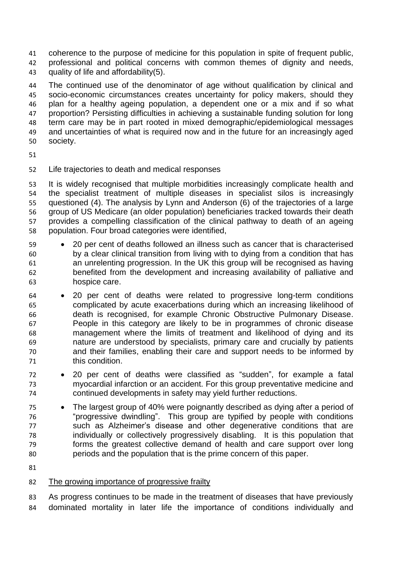coherence to the purpose of medicine for this population in spite of frequent public, professional and political concerns with common themes of dignity and needs, quality of life and affordability(5).

 The continued use of the denominator of age without qualification by clinical and socio-economic circumstances creates uncertainty for policy makers, should they plan for a healthy ageing population, a dependent one or a mix and if so what proportion? Persisting difficulties in achieving a sustainable funding solution for long term care may be in part rooted in mixed demographic/epidemiological messages and uncertainties of what is required now and in the future for an increasingly aged society.

- 
- Life trajectories to death and medical responses

 It is widely recognised that multiple morbidities increasingly complicate health and the specialist treatment of multiple diseases in specialist silos is increasingly questioned (4). The analysis by Lynn and Anderson (6) of the trajectories of a large group of US Medicare (an older population) beneficiaries tracked towards their death provides a compelling classification of the clinical pathway to death of an ageing population. Four broad categories were identified,

- 20 per cent of deaths followed an illness such as cancer that is characterised by a clear clinical transition from living with to dying from a condition that has an unrelenting progression. In the UK this group will be recognised as having benefited from the development and increasing availability of palliative and hospice care.
- 20 per cent of deaths were related to progressive long-term conditions complicated by acute exacerbations during which an increasing likelihood of death is recognised, for example Chronic Obstructive Pulmonary Disease. People in this category are likely to be in programmes of chronic disease management where the limits of treatment and likelihood of dying and its nature are understood by specialists, primary care and crucially by patients and their families, enabling their care and support needs to be informed by this condition.
- 20 per cent of deaths were classified as "sudden", for example a fatal myocardial infarction or an accident. For this group preventative medicine and continued developments in safety may yield further reductions.
- The largest group of 40% were poignantly described as dying after a period of "progressive dwindling". This group are typified by people with conditions such as Alzheimer's disease and other degenerative conditions that are individually or collectively progressively disabling. It is this population that forms the greatest collective demand of health and care support over long periods and the population that is the prime concern of this paper.
- 

# The growing importance of progressive frailty

 As progress continues to be made in the treatment of diseases that have previously dominated mortality in later life the importance of conditions individually and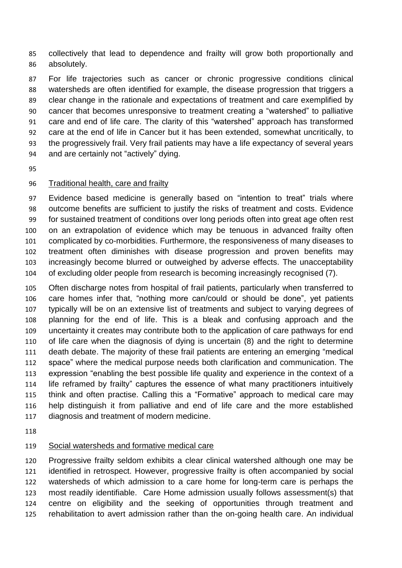collectively that lead to dependence and frailty will grow both proportionally and absolutely.

 For life trajectories such as cancer or chronic progressive conditions clinical watersheds are often identified for example, the disease progression that triggers a clear change in the rationale and expectations of treatment and care exemplified by cancer that becomes unresponsive to treatment creating a "watershed" to palliative care and end of life care. The clarity of this "watershed" approach has transformed care at the end of life in Cancer but it has been extended, somewhat uncritically, to the progressively frail. Very frail patients may have a life expectancy of several years and are certainly not "actively" dying.

#### Traditional health, care and frailty

 Evidence based medicine is generally based on "intention to treat" trials where outcome benefits are sufficient to justify the risks of treatment and costs. Evidence for sustained treatment of conditions over long periods often into great age often rest on an extrapolation of evidence which may be tenuous in advanced frailty often complicated by co-morbidities. Furthermore, the responsiveness of many diseases to treatment often diminishes with disease progression and proven benefits may increasingly become blurred or outweighed by adverse effects. The unacceptability of excluding older people from research is becoming increasingly recognised (7).

 Often discharge notes from hospital of frail patients, particularly when transferred to care homes infer that, "nothing more can/could or should be done", yet patients typically will be on an extensive list of treatments and subject to varying degrees of planning for the end of life. This is a bleak and confusing approach and the uncertainty it creates may contribute both to the application of care pathways for end of life care when the diagnosis of dying is uncertain (8) and the right to determine death debate. The majority of these frail patients are entering an emerging "medical space" where the medical purpose needs both clarification and communication. The expression "enabling the best possible life quality and experience in the context of a life reframed by frailty" captures the essence of what many practitioners intuitively think and often practise. Calling this a "Formative" approach to medical care may help distinguish it from palliative and end of life care and the more established diagnosis and treatment of modern medicine.

#### Social watersheds and formative medical care

 Progressive frailty seldom exhibits a clear clinical watershed although one may be identified in retrospect. However, progressive frailty is often accompanied by social watersheds of which admission to a care home for long-term care is perhaps the most readily identifiable. Care Home admission usually follows assessment(s) that centre on eligibility and the seeking of opportunities through treatment and rehabilitation to avert admission rather than the on-going health care. An individual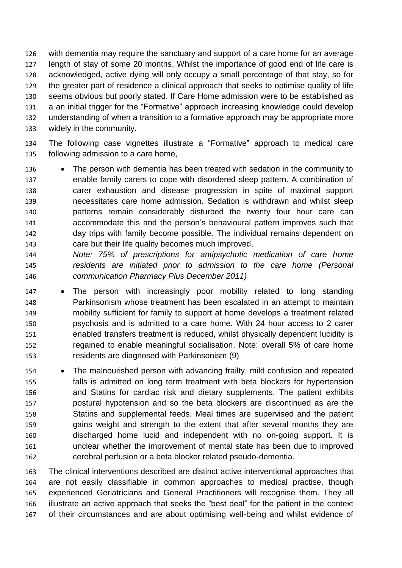with dementia may require the sanctuary and support of a care home for an average length of stay of some 20 months. Whilst the importance of good end of life care is acknowledged, active dying will only occupy a small percentage of that stay, so for the greater part of residence a clinical approach that seeks to optimise quality of life seems obvious but poorly stated. If Care Home admission were to be established as a an initial trigger for the "Formative" approach increasing knowledge could develop understanding of when a transition to a formative approach may be appropriate more widely in the community.

 The following case vignettes illustrate a "Formative" approach to medical care following admission to a care home,

- 136 The person with dementia has been treated with sedation in the community to enable family carers to cope with disordered sleep pattern. A combination of carer exhaustion and disease progression in spite of maximal support necessitates care home admission. Sedation is withdrawn and whilst sleep patterns remain considerably disturbed the twenty four hour care can accommodate this and the person's behavioural pattern improves such that day trips with family become possible. The individual remains dependent on care but their life quality becomes much improved.
- *Note: 75% of prescriptions for antipsychotic medication of care home residents are initiated prior to admission to the care home (Personal communication Pharmacy Plus December 2011)*
- 147 The person with increasingly poor mobility related to long standing Parkinsonism whose treatment has been escalated in an attempt to maintain mobility sufficient for family to support at home develops a treatment related psychosis and is admitted to a care home. With 24 hour access to 2 carer enabled transfers treatment is reduced, whilst physically dependent lucidity is regained to enable meaningful socialisation. Note: overall 5% of care home residents are diagnosed with Parkinsonism (9)
- The malnourished person with advancing frailty, mild confusion and repeated falls is admitted on long term treatment with beta blockers for hypertension and Statins for cardiac risk and dietary supplements. The patient exhibits postural hypotension and so the beta blockers are discontinued as are the Statins and supplemental feeds. Meal times are supervised and the patient gains weight and strength to the extent that after several months they are discharged home lucid and independent with no on-going support. It is unclear whether the improvement of mental state has been due to improved cerebral perfusion or a beta blocker related pseudo-dementia.

 The clinical interventions described are distinct active interventional approaches that are not easily classifiable in common approaches to medical practise, though experienced Geriatricians and General Practitioners will recognise them. They all illustrate an active approach that seeks the "best deal" for the patient in the context of their circumstances and are about optimising well-being and whilst evidence of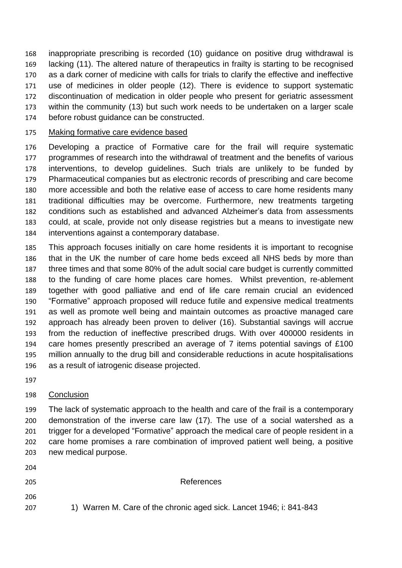inappropriate prescribing is recorded (10) guidance on positive drug withdrawal is lacking (11). The altered nature of therapeutics in frailty is starting to be recognised as a dark corner of medicine with calls for trials to clarify the effective and ineffective use of medicines in older people (12). There is evidence to support systematic discontinuation of medication in older people who present for geriatric assessment within the community (13) but such work needs to be undertaken on a larger scale before robust guidance can be constructed.

#### Making formative care evidence based

 Developing a practice of Formative care for the frail will require systematic programmes of research into the withdrawal of treatment and the benefits of various interventions, to develop guidelines. Such trials are unlikely to be funded by Pharmaceutical companies but as electronic records of prescribing and care become more accessible and both the relative ease of access to care home residents many traditional difficulties may be overcome. Furthermore, new treatments targeting conditions such as established and advanced Alzheimer's data from assessments could, at scale, provide not only disease registries but a means to investigate new interventions against a contemporary database.

 This approach focuses initially on care home residents it is important to recognise that in the UK the number of care home beds exceed all NHS beds by more than three times and that some 80% of the adult social care budget is currently committed to the funding of care home places care homes. Whilst prevention, re-ablement together with good palliative and end of life care remain crucial an evidenced "Formative" approach proposed will reduce futile and expensive medical treatments as well as promote well being and maintain outcomes as proactive managed care approach has already been proven to deliver (16). Substantial savings will accrue from the reduction of ineffective prescribed drugs. With over 400000 residents in care homes presently prescribed an average of 7 items potential savings of £100 million annually to the drug bill and considerable reductions in acute hospitalisations as a result of iatrogenic disease projected.

# Conclusion

 The lack of systematic approach to the health and care of the frail is a contemporary demonstration of the inverse care law (17). The use of a social watershed as a trigger for a developed "Formative" approach the medical care of people resident in a care home promises a rare combination of improved patient well being, a positive new medical purpose.

References

1) Warren M. Care of the chronic aged sick. Lancet 1946; i: 841-843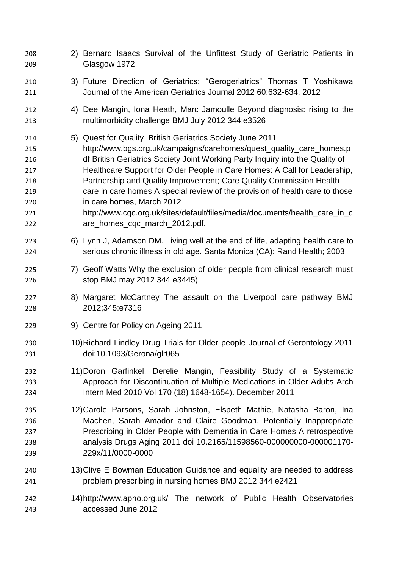2) Bernard Isaacs Survival of the Unfittest Study of Geriatric Patients in Glasgow 1972 3) Future Direction of Geriatrics: "Gerogeriatrics" Thomas T Yoshikawa Journal of the American Geriatrics Journal 2012 60:632-634, 2012 4) Dee Mangin, Iona Heath, Marc Jamoulle Beyond diagnosis: rising to the multimorbidity challenge BMJ July 2012 344:e3526 5) Quest for Quality British Geriatrics Society June 2011 http://www.bgs.org.uk/campaigns/carehomes/quest\_quality\_care\_homes.p df British Geriatrics Society Joint Working Party Inquiry into the Quality of Healthcare Support for Older People in Care Homes: A Call for Leadership, Partnership and Quality Improvement; Care Quality Commission Health care in care homes A special review of the provision of health care to those in care homes, March 2012 http://www.cqc.org.uk/sites/default/files/media/documents/health\_care\_in\_c are\_homes\_cqc\_march\_2012.pdf. 6) Lynn J, Adamson DM. Living well at the end of life, adapting health care to serious chronic illness in old age. Santa Monica (CA): Rand Health; 2003 225 7) Geoff Watts Why the exclusion of older people from clinical research must stop BMJ may 2012 344 e3445) 8) Margaret McCartney The assault on the Liverpool care pathway BMJ 2012;345:e7316 9) Centre for Policy on Ageing 2011 10)Richard Lindley Drug Trials for Older people Journal of Gerontology 2011 doi:10.1093/Gerona/glr065 11)Doron Garfinkel, Derelie Mangin, Feasibility Study of a Systematic Approach for Discontinuation of Multiple Medications in Older Adults Arch Intern Med 2010 Vol 170 (18) 1648-1654). December 2011 12)Carole Parsons, Sarah Johnston, Elspeth Mathie, Natasha Baron, Ina Machen, Sarah Amador and Claire Goodman. Potentially Inappropriate Prescribing in Older People with Dementia in Care Homes A retrospective analysis Drugs Aging 2011 doi 10.2165/11598560-000000000-000001170- 229x/11/0000-0000 13)Clive E Bowman Education Guidance and equality are needed to address problem prescribing in nursing homes BMJ 2012 344 e2421 14)http://www.apho.org.uk/ The network of Public Health Observatories accessed June 2012